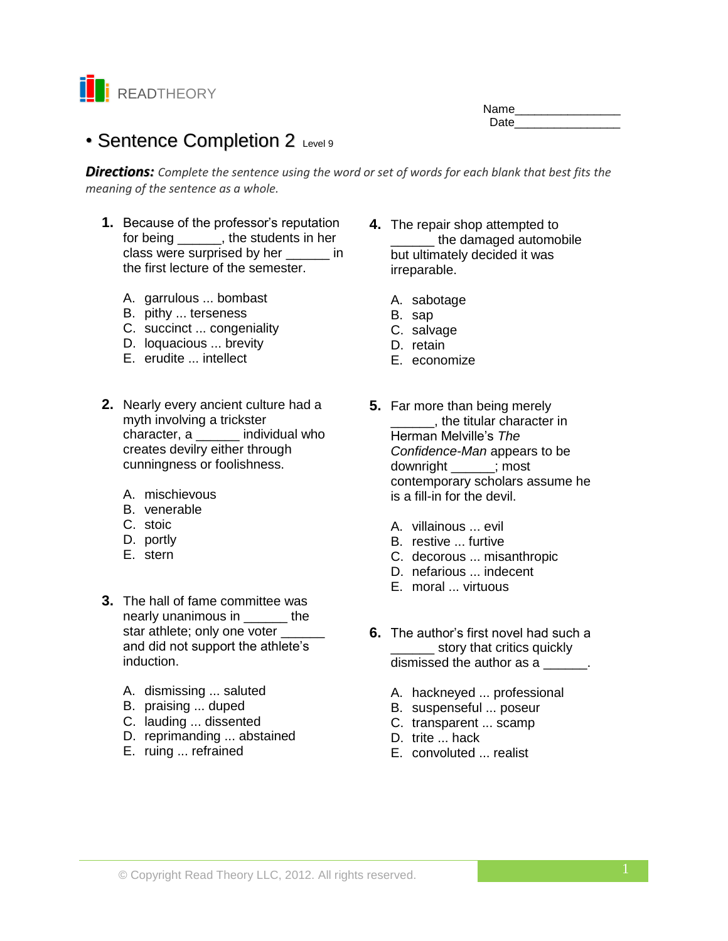

Name\_\_\_\_\_\_\_\_\_\_\_\_\_\_\_\_ Date **Date** 

# • Sentence Completion 2 Level 9

*Directions: Complete the sentence using the word or set of words for each blank that best fits the meaning of the sentence as a whole.*

- **1.** Because of the professor's reputation for being \_\_\_\_\_\_, the students in her class were surprised by her \_\_\_\_\_\_ in the first lecture of the semester.
	- A. garrulous ... bombast
	- B. pithy ... terseness
	- C. succinct ... congeniality
	- D. loquacious ... brevity
	- E. erudite ... intellect
- **2.** Nearly every ancient culture had a myth involving a trickster character, a \_\_\_\_\_\_ individual who creates devilry either through cunningness or foolishness.
	- A. mischievous
	- B. venerable
	- C. stoic
	- D. portly
	- E. stern
- **3.** The hall of fame committee was nearly unanimous in The star athlete; only one voter \_\_\_\_\_\_ and did not support the athlete's induction.
	- A. dismissing ... saluted
	- B. praising ... duped
	- C. lauding ... dissented
	- D. reprimanding ... abstained
	- E. ruing ... refrained
- **4.** The repair shop attempted to the damaged automobile but ultimately decided it was irreparable.
	- A. sabotage
	- B. sap
	- C. salvage
	- D. retain
	- E. economize
- **5.** Far more than being merely \_\_\_\_\_\_, the titular character in Herman Melville's *The Confidence-Man* appears to be downright \_\_\_\_\_\_; most contemporary scholars assume he is a fill-in for the devil.
	- A. villainous ... evil
	- B. restive ... furtive
	- C. decorous ... misanthropic
	- D. nefarious ... indecent
	- E. moral ... virtuous
- **6.** The author's first novel had such a story that critics quickly dismissed the author as a  $\qquad \qquad$ .
	- A. hackneyed ... professional
	- B. suspenseful ... poseur
	- C. transparent ... scamp
	- D. trite ... hack
	- E. convoluted ... realist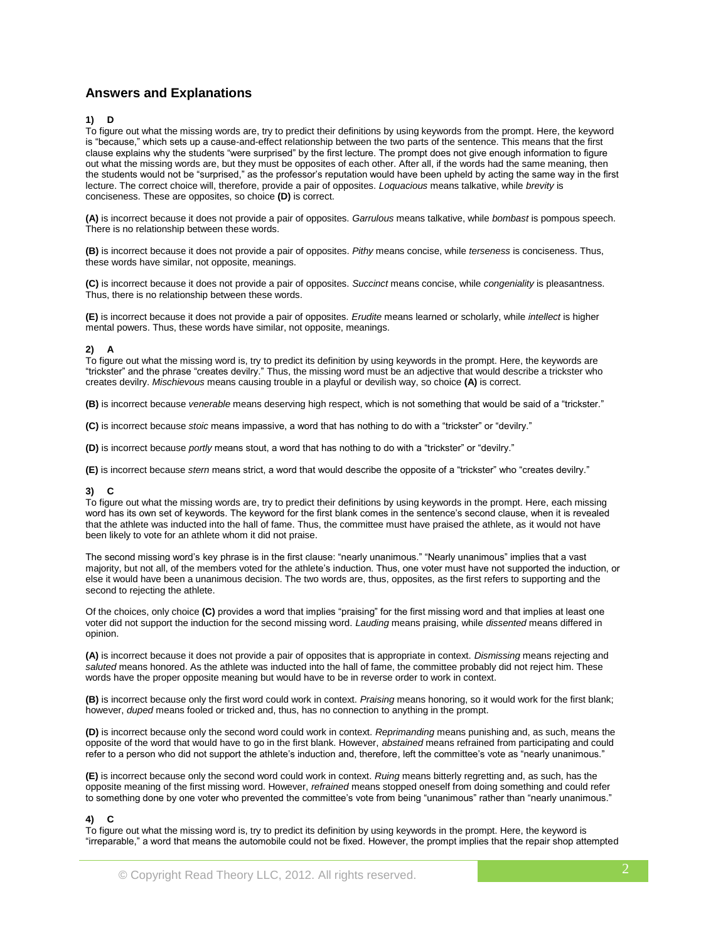# **Answers and Explanations**

## **1) D**

To figure out what the missing words are, try to predict their definitions by using keywords from the prompt. Here, the keyword is "because," which sets up a cause-and-effect relationship between the two parts of the sentence. This means that the first clause explains why the students "were surprised" by the first lecture. The prompt does not give enough information to figure out what the missing words are, but they must be opposites of each other. After all, if the words had the same meaning, then the students would not be "surprised," as the professor's reputation would have been upheld by acting the same way in the first lecture. The correct choice will, therefore, provide a pair of opposites. *Loquacious* means talkative, while *brevity* is conciseness. These are opposites, so choice **(D)** is correct.

**(A)** is incorrect because it does not provide a pair of opposites. *Garrulous* means talkative, while *bombast* is pompous speech. There is no relationship between these words.

**(B)** is incorrect because it does not provide a pair of opposites. *Pithy* means concise, while *terseness* is conciseness. Thus, these words have similar, not opposite, meanings.

**(C)** is incorrect because it does not provide a pair of opposites. *Succinct* means concise, while *congeniality* is pleasantness. Thus, there is no relationship between these words.

**(E)** is incorrect because it does not provide a pair of opposites. *Erudite* means learned or scholarly, while *intellect* is higher mental powers. Thus, these words have similar, not opposite, meanings.

## **2) A**

To figure out what the missing word is, try to predict its definition by using keywords in the prompt. Here, the keywords are "trickster" and the phrase "creates devilry." Thus, the missing word must be an adjective that would describe a trickster who creates devilry. *Mischievous* means causing trouble in a playful or devilish way, so choice **(A)** is correct.

**(B)** is incorrect because *venerable* means deserving high respect, which is not something that would be said of a "trickster."

**(C)** is incorrect because *stoic* means impassive, a word that has nothing to do with a "trickster" or "devilry."

**(D)** is incorrect because *portly* means stout, a word that has nothing to do with a "trickster" or "devilry."

**(E)** is incorrect because *stern* means strict, a word that would describe the opposite of a "trickster" who "creates devilry."

## **3) C**

To figure out what the missing words are, try to predict their definitions by using keywords in the prompt. Here, each missing word has its own set of keywords. The keyword for the first blank comes in the sentence's second clause, when it is revealed that the athlete was inducted into the hall of fame. Thus, the committee must have praised the athlete, as it would not have been likely to vote for an athlete whom it did not praise.

The second missing word's key phrase is in the first clause: "nearly unanimous." "Nearly unanimous" implies that a vast majority, but not all, of the members voted for the athlete's induction. Thus, one voter must have not supported the induction, or else it would have been a unanimous decision. The two words are, thus, opposites, as the first refers to supporting and the second to rejecting the athlete.

Of the choices, only choice **(C)** provides a word that implies "praising" for the first missing word and that implies at least one voter did not support the induction for the second missing word. *Lauding* means praising, while *dissented* means differed in opinion.

**(A)** is incorrect because it does not provide a pair of opposites that is appropriate in context. *Dismissing* means rejecting and *saluted* means honored. As the athlete was inducted into the hall of fame, the committee probably did not reject him. These words have the proper opposite meaning but would have to be in reverse order to work in context.

**(B)** is incorrect because only the first word could work in context. *Praising* means honoring, so it would work for the first blank; however, *duped* means fooled or tricked and, thus, has no connection to anything in the prompt.

**(D)** is incorrect because only the second word could work in context. *Reprimanding* means punishing and, as such, means the opposite of the word that would have to go in the first blank. However, *abstained* means refrained from participating and could refer to a person who did not support the athlete's induction and, therefore, left the committee's vote as "nearly unanimous."

**(E)** is incorrect because only the second word could work in context. *Ruing* means bitterly regretting and, as such, has the opposite meaning of the first missing word. However, *refrained* means stopped oneself from doing something and could refer to something done by one voter who prevented the committee's vote from being "unanimous" rather than "nearly unanimous."

#### **4) C**

To figure out what the missing word is, try to predict its definition by using keywords in the prompt. Here, the keyword is "irreparable," a word that means the automobile could not be fixed. However, the prompt implies that the repair shop attempted